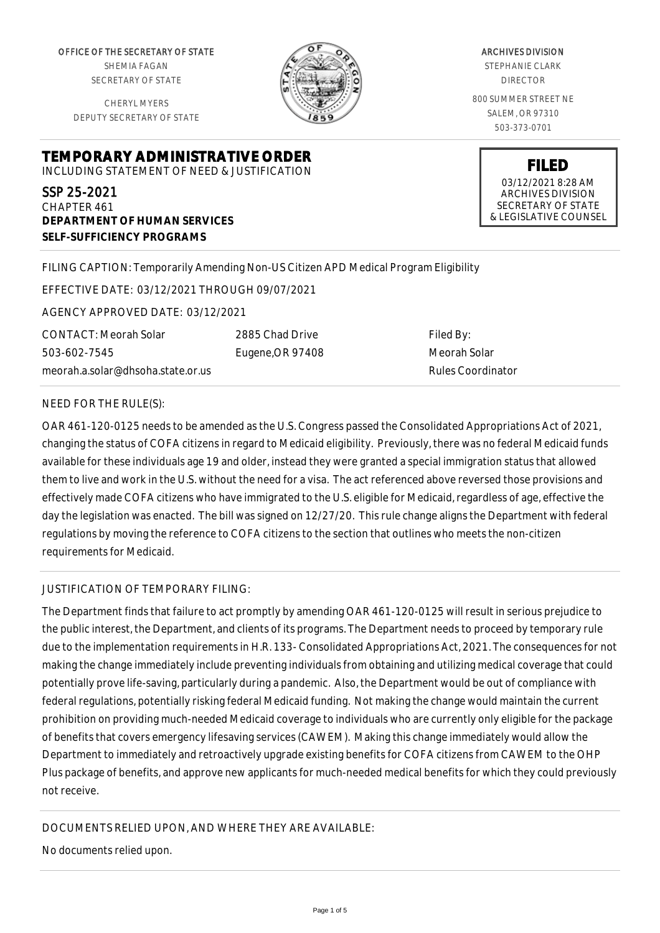OFFICE OF THE SECRETARY OF STATE SHEMIA FAGAN SECRETARY OF STATE

CHERYL MYERS DEPUTY SECRETARY OF STATE



ARCHIVES DIVISION STEPHANIE CLARK DIRECTOR 800 SUMMER STREET NE SALEM, OR 97310 503-373-0701

> 03/12/2021 8:28 AM ARCHIVES DIVISION SECRETARY OF STATE & LEGISLATIVE COUNSEL

**FILED**

**TEMPORARY ADMINISTRATIVE ORDER** INCLUDING STATEMENT OF NEED & JUSTIFICATION

SSP 25-2021 CHAPTER 461 **DEPARTMENT OF HUMAN SERVICES SELF-SUFFICIENCY PROGRAMS**

# FILING CAPTION: Temporarily Amending Non-US Citizen APD Medical Program Eligibility

EFFECTIVE DATE: 03/12/2021 THROUGH 09/07/2021

AGENCY APPROVED DATE: 03/12/2021

CONTACT: Meorah Solar 503-602-7545 meorah.a.solar@dhsoha.state.or.us 2885 Chad Drive Eugene,OR 97408

Filed By: Meorah Solar Rules Coordinator

#### NEED FOR THE RULE(S):

OAR 461-120-0125 needs to be amended as the U.S. Congress passed the Consolidated Appropriations Act of 2021, changing the status of COFA citizens in regard to Medicaid eligibility. Previously, there was no federal Medicaid funds available for these individuals age 19 and older, instead they were granted a special immigration status that allowed them to live and work in the U.S. without the need for a visa. The act referenced above reversed those provisions and effectively made COFA citizens who have immigrated to the U.S. eligible for Medicaid, regardless of age, effective the day the legislation was enacted. The bill was signed on 12/27/20. This rule change aligns the Department with federal regulations by moving the reference to COFA citizens to the section that outlines who meets the non-citizen requirements for Medicaid.

## JUSTIFICATION OF TEMPORARY FILING:

The Department finds that failure to act promptly by amending OAR 461-120-0125 will result in serious prejudice to the public interest, the Department, and clients of its programs. The Department needs to proceed by temporary rule due to the implementation requirements in H.R. 133- Consolidated Appropriations Act, 2021. The consequences for not making the change immediately include preventing individuals from obtaining and utilizing medical coverage that could potentially prove life-saving, particularly during a pandemic. Also, the Department would be out of compliance with federal regulations, potentially risking federal Medicaid funding. Not making the change would maintain the current prohibition on providing much-needed Medicaid coverage to individuals who are currently only eligible for the package of benefits that covers emergency lifesaving services (CAWEM). Making this change immediately would allow the Department to immediately and retroactively upgrade existing benefits for COFA citizens from CAWEM to the OHP Plus package of benefits, and approve new applicants for much-needed medical benefits for which they could previously not receive.

## DOCUMENTS RELIED UPON, AND WHERE THEY ARE AVAILABLE:

No documents relied upon.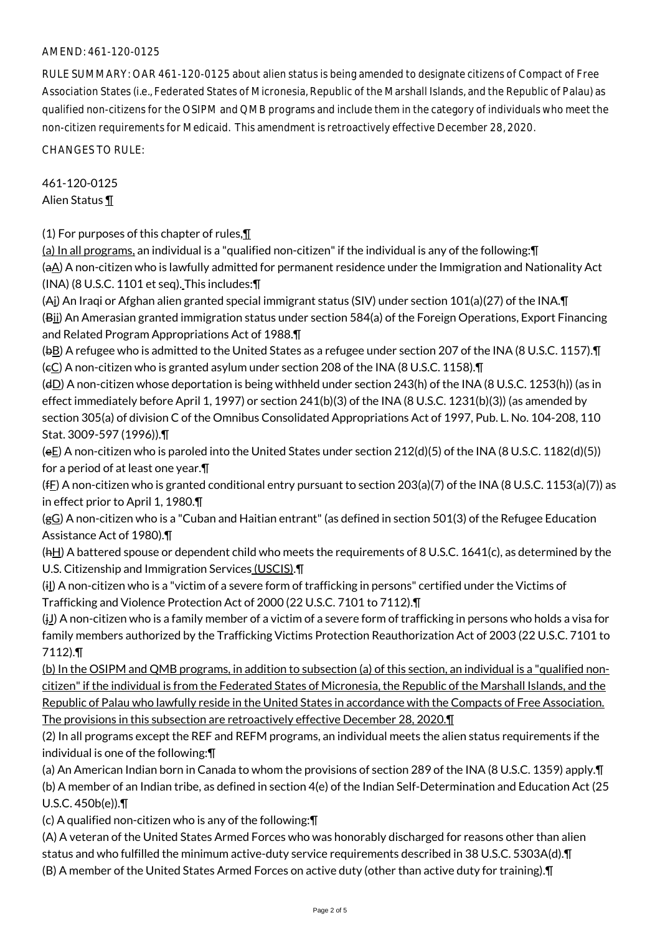## AMEND: 461-120-0125

RULE SUMMARY: OAR 461-120-0125 about alien status is being amended to designate citizens of Compact of Free Association States (i.e., Federated States of Micronesia, Republic of the Marshall Islands, and the Republic of Palau) as qualified non-citizens for the OSIPM and QMB programs and include them in the category of individuals who meet the non-citizen requirements for Medicaid. This amendment is retroactively effective December 28, 2020.

CHANGES TO RULE:

461-120-0125 Alien Status ¶

(1) For purposes of this chapter of rules, $\P$ 

(a) In all programs, an individual is a "qualified non-citizen" if the individual is any of the following:¶ (aA) A non-citizen who is lawfully admitted for permanent residence under the Immigration and Nationality Act (INA) (8 U.S.C. 1101 et seq). This includes:¶

(Ai) An Iraqi or Afghan alien granted special immigrant status (SIV) under section 101(a)(27) of the INA.¶ (Bii) An Amerasian granted immigration status under section 584(a) of the Foreign Operations, Export Financing and Related Program Appropriations Act of 1988.¶

(bB) A refugee who is admitted to the United States as a refugee under section 207 of the INA (8 U.S.C. 1157).¶ ( $\epsilon$ C) A non-citizen who is granted asylum under section 208 of the INA (8 U.S.C. 1158).

(dD) A non-citizen whose deportation is being withheld under section 243(h) of the INA (8 U.S.C. 1253(h)) (as in effect immediately before April 1, 1997) or section 241(b)(3) of the INA (8 U.S.C. 1231(b)(3)) (as amended by section 305(a) of division C of the Omnibus Consolidated Appropriations Act of 1997, Pub. L. No. 104-208, 110 Stat. 3009-597 (1996)).¶

(eE) A non-citizen who is paroled into the United States under section 212(d)(5) of the INA (8 U.S.C. 1182(d)(5)) for a period of at least one year.¶

(fE) A non-citizen who is granted conditional entry pursuant to section  $203(a)(7)$  of the INA (8 U.S.C. 1153(a)(7)) as in effect prior to April 1, 1980.¶

(gG) A non-citizen who is a "Cuban and Haitian entrant" (as defined in section 501(3) of the Refugee Education Assistance Act of 1980).¶

(hH) A battered spouse or dependent child who meets the requirements of 8 U.S.C. 1641(c), as determined by the U.S. Citizenship and Immigration Services (USCIS).¶

(i) A non-citizen who is a "victim of a severe form of trafficking in persons" certified under the Victims of Trafficking and Violence Protection Act of 2000 (22 U.S.C. 7101 to 7112).¶

 $(j_1)$  A non-citizen who is a family member of a victim of a severe form of trafficking in persons who holds a visa for family members authorized by the Trafficking Victims Protection Reauthorization Act of 2003 (22 U.S.C. 7101 to 7112).¶

(b) In the OSIPM and QMB programs, in addition to subsection (a) of this section, an individual is a "qualified noncitizen" if the individual is from the Federated States of Micronesia, the Republic of the Marshall Islands, and the Republic of Palau who lawfully reside in the United States in accordance with the Compacts of Free Association. The provisions in this subsection are retroactively effective December 28, 2020.¶

(2) In all programs except the REF and REFM programs, an individual meets the alien status requirements if the individual is one of the following:¶

(a) An American Indian born in Canada to whom the provisions of section 289 of the INA (8 U.S.C. 1359) apply.¶ (b) A member of an Indian tribe, as defined in section 4(e) of the Indian Self-Determination and Education Act (25 U.S.C. 450b(e)).¶

(c) A qualified non-citizen who is any of the following:¶

(A) A veteran of the United States Armed Forces who was honorably discharged for reasons other than alien

status and who fulfilled the minimum active-duty service requirements described in 38 U.S.C. 5303A(d).¶

(B) A member of the United States Armed Forces on active duty (other than active duty for training).¶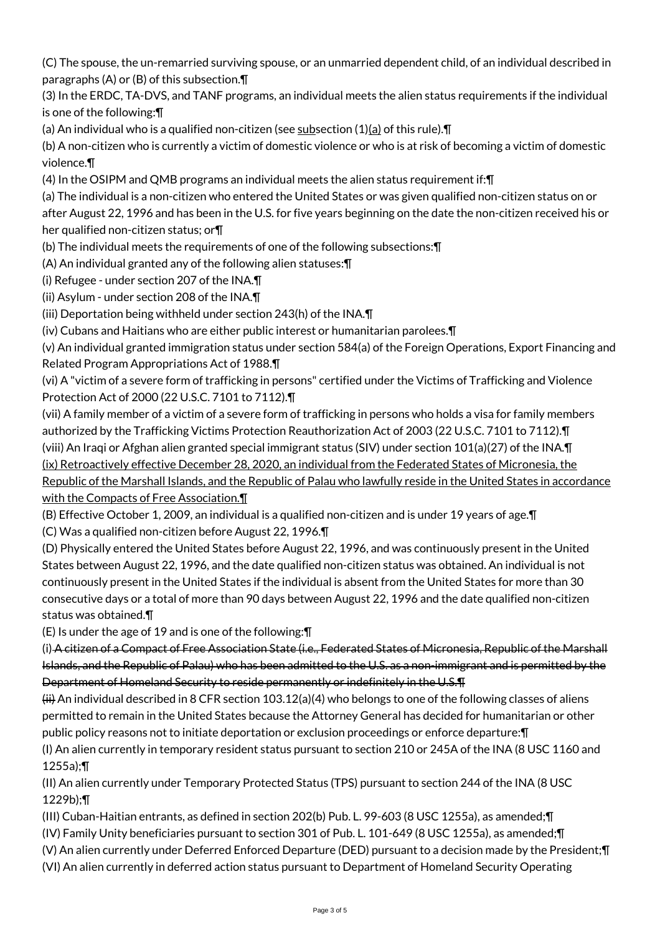(C) The spouse, the un-remarried surviving spouse, or an unmarried dependent child, of an individual described in paragraphs (A) or (B) of this subsection.¶

(3) In the ERDC, TA-DVS, and TANF programs, an individual meets the alien status requirements if the individual is one of the following:¶

(a) An individual who is a qualified non-citizen (see subsection  $(1)(a)$  of this rule). $\P$ 

(b) A non-citizen who is currently a victim of domestic violence or who is at risk of becoming a victim of domestic violence.¶

(4) In the OSIPM and QMB programs an individual meets the alien status requirement if:¶

(a) The individual is a non-citizen who entered the United States or was given qualified non-citizen status on or after August 22, 1996 and has been in the U.S. for five years beginning on the date the non-citizen received his or her qualified non-citizen status; or¶

(b) The individual meets the requirements of one of the following subsections:¶

(A) An individual granted any of the following alien statuses:¶

(i) Refugee - under section 207 of the INA.¶

(ii) Asylum - under section 208 of the INA.¶

(iii) Deportation being withheld under section 243(h) of the INA.¶

(iv) Cubans and Haitians who are either public interest or humanitarian parolees.¶

(v) An individual granted immigration status under section 584(a) of the Foreign Operations, Export Financing and Related Program Appropriations Act of 1988.¶

(vi) A "victim of a severe form of trafficking in persons" certified under the Victims of Trafficking and Violence Protection Act of 2000 (22 U.S.C. 7101 to 7112).¶

(vii) A family member of a victim of a severe form of trafficking in persons who holds a visa for family members authorized by the Trafficking Victims Protection Reauthorization Act of 2003 (22 U.S.C. 7101 to 7112).¶ (viii) An Iraqi or Afghan alien granted special immigrant status (SIV) under section 101(a)(27) of the INA.¶ (ix) Retroactively effective December 28, 2020, an individual from the Federated States of Micronesia, the Republic of the Marshall Islands, and the Republic of Palau who lawfully reside in the United States in accordance with the Compacts of Free Association.¶

(B) Effective October 1, 2009, an individual is a qualified non-citizen and is under 19 years of age.¶

(C) Was a qualified non-citizen before August 22, 1996.¶

(D) Physically entered the United States before August 22, 1996, and was continuously present in the United States between August 22, 1996, and the date qualified non-citizen status was obtained. An individual is not continuously present in the United States if the individual is absent from the United States for more than 30 consecutive days or a total of more than 90 days between August 22, 1996 and the date qualified non-citizen status was obtained.¶

(E) Is under the age of 19 and is one of the following:¶

(i) A citizen of a Compact of Free Association State (i.e., Federated States of Micronesia, Republic of the Marshall Islands, and the Republic of Palau) who has been admitted to the U.S. as a non-immigrant and is permitted by the Department of Homeland Security to reside permanently or indefinitely in the U.S.¶

 $(H)$  An individual described in 8 CFR section 103.12(a)(4) who belongs to one of the following classes of aliens permitted to remain in the United States because the Attorney General has decided for humanitarian or other public policy reasons not to initiate deportation or exclusion proceedings or enforce departure:¶ (I) An alien currently in temporary resident status pursuant to section 210 or 245A of the INA (8 USC 1160 and

1255a);¶

(II) An alien currently under Temporary Protected Status (TPS) pursuant to section 244 of the INA (8 USC 1229b);¶

(III) Cuban-Haitian entrants, as defined in section 202(b) Pub. L. 99-603 (8 USC 1255a), as amended;¶

(IV) Family Unity beneficiaries pursuant to section 301 of Pub. L. 101-649 (8 USC 1255a), as amended;¶

(V) An alien currently under Deferred Enforced Departure (DED) pursuant to a decision made by the President;¶

(VI) An alien currently in deferred action status pursuant to Department of Homeland Security Operating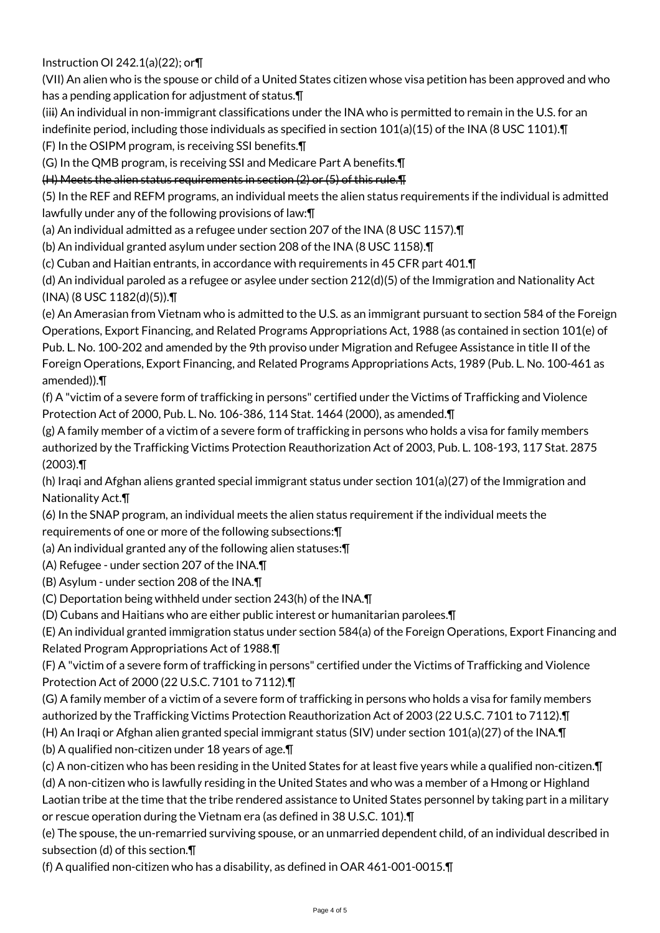Instruction OI 242.1(a)(22); or¶

(VII) An alien who is the spouse or child of a United States citizen whose visa petition has been approved and who has a pending application for adjustment of status.¶

(iii) An individual in non-immigrant classifications under the INA who is permitted to remain in the U.S. for an indefinite period, including those individuals as specified in section 101(a)(15) of the INA (8 USC 1101).¶

(F) In the OSIPM program, is receiving SSI benefits.¶

(G) In the QMB program, is receiving SSI and Medicare Part A benefits.¶

(H) Meets the alien status requirements in section (2) or (5) of this rule.¶

(5) In the REF and REFM programs, an individual meets the alien status requirements if the individual is admitted lawfully under any of the following provisions of law:¶

(a) An individual admitted as a refugee under section 207 of the INA (8 USC 1157).¶

(b) An individual granted asylum under section 208 of the INA (8 USC 1158).¶

(c) Cuban and Haitian entrants, in accordance with requirements in 45 CFR part 401.¶

(d) An individual paroled as a refugee or asylee under section 212(d)(5) of the Immigration and Nationality Act (INA) (8 USC 1182(d)(5)).¶

(e) An Amerasian from Vietnam who is admitted to the U.S. as an immigrant pursuant to section 584 of the Foreign Operations, Export Financing, and Related Programs Appropriations Act, 1988 (as contained in section 101(e) of Pub. L. No. 100-202 and amended by the 9th proviso under Migration and Refugee Assistance in title II of the Foreign Operations, Export Financing, and Related Programs Appropriations Acts, 1989 (Pub. L. No. 100-461 as amended)).¶

(f) A "victim of a severe form of trafficking in persons" certified under the Victims of Trafficking and Violence Protection Act of 2000, Pub. L. No. 106-386, 114 Stat. 1464 (2000), as amended.¶

(g) A family member of a victim of a severe form of trafficking in persons who holds a visa for family members authorized by the Trafficking Victims Protection Reauthorization Act of 2003, Pub. L. 108-193, 117 Stat. 2875 (2003).¶

(h) Iraqi and Afghan aliens granted special immigrant status under section 101(a)(27) of the Immigration and Nationality Act.¶

(6) In the SNAP program, an individual meets the alien status requirement if the individual meets the requirements of one or more of the following subsections:¶

(a) An individual granted any of the following alien statuses:¶

(A) Refugee - under section 207 of the INA.¶

(B) Asylum - under section 208 of the INA.¶

(C) Deportation being withheld under section 243(h) of the INA.¶

(D) Cubans and Haitians who are either public interest or humanitarian parolees.¶

(E) An individual granted immigration status under section 584(a) of the Foreign Operations, Export Financing and Related Program Appropriations Act of 1988.¶

(F) A "victim of a severe form of trafficking in persons" certified under the Victims of Trafficking and Violence Protection Act of 2000 (22 U.S.C. 7101 to 7112).¶

(G) A family member of a victim of a severe form of trafficking in persons who holds a visa for family members

authorized by the Trafficking Victims Protection Reauthorization Act of 2003 (22 U.S.C. 7101 to 7112).¶

(H) An Iraqi or Afghan alien granted special immigrant status (SIV) under section 101(a)(27) of the INA.¶ (b) A qualified non-citizen under 18 years of age.¶

(c) A non-citizen who has been residing in the United States for at least five years while a qualified non-citizen.¶

(d) A non-citizen who is lawfully residing in the United States and who was a member of a Hmong or Highland Laotian tribe at the time that the tribe rendered assistance to United States personnel by taking part in a military

or rescue operation during the Vietnam era (as defined in 38 U.S.C. 101).¶

(e) The spouse, the un-remarried surviving spouse, or an unmarried dependent child, of an individual described in subsection (d) of this section.¶

(f) A qualified non-citizen who has a disability, as defined in OAR 461-001-0015.¶